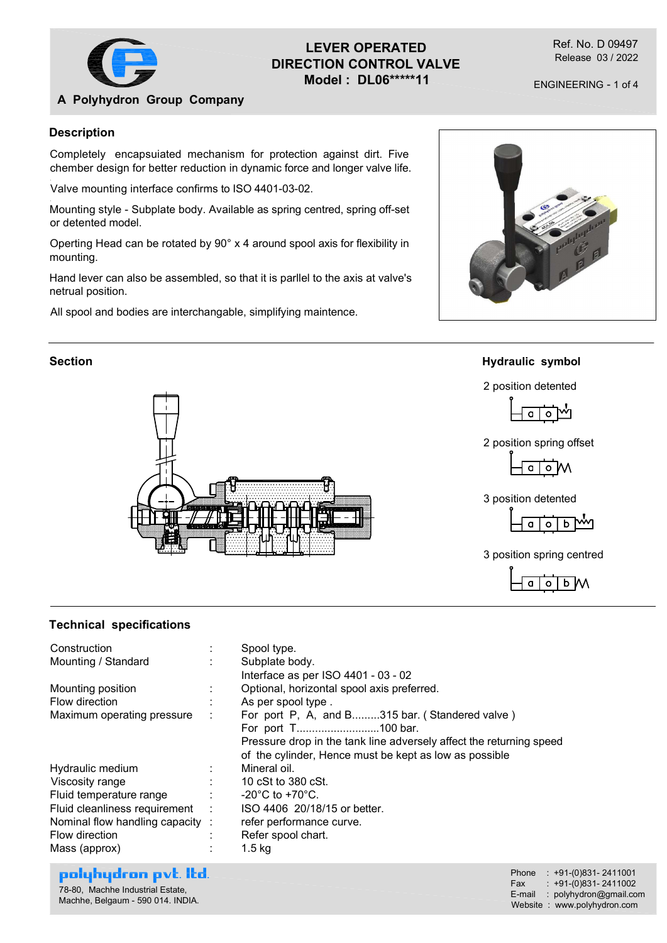

# LEVER OPERATED DIRECTION CONTROL VALVE Model : DL06\*\*\*\*\*11

Ref. No. D 09497 Release 03 / 2022

ENGINEERING - 1 of 4

# A Polyhydron Group Company

### Description

Completely encapsuiated mechanism for protection against dirt. Five chember design for better reduction in dynamic force and longer valve life.

Valve mounting interface confirms to ISO 4401-03-02.

Mounting style - Subplate body. Available as spring centred, spring off-set or detented model.

Operting Head can be rotated by 90° x 4 around spool axis for flexibility in mounting.

Hand lever can also be assembled, so that it is parllel to the axis at valve's netrual position.

All spool and bodies are interchangable, simplifying maintence.



# Section **Hydraulic** symbol



# 2 position detented









### Technical specifications

|                                                                                                                                                                                                                                                                                    |                                                                                                                                                                                                                                                                                                                                                                                                                                                                                                                                | 2 position detented<br>2 position spring offset<br>o M<br>a<br>3 position detented<br>₩<br>b<br>$\circ$<br>a<br>3 position spring centred<br>b M |  |
|------------------------------------------------------------------------------------------------------------------------------------------------------------------------------------------------------------------------------------------------------------------------------------|--------------------------------------------------------------------------------------------------------------------------------------------------------------------------------------------------------------------------------------------------------------------------------------------------------------------------------------------------------------------------------------------------------------------------------------------------------------------------------------------------------------------------------|--------------------------------------------------------------------------------------------------------------------------------------------------|--|
| <b>Technical specifications</b>                                                                                                                                                                                                                                                    |                                                                                                                                                                                                                                                                                                                                                                                                                                                                                                                                |                                                                                                                                                  |  |
| Construction<br>Mounting / Standard<br>Mounting position<br>Flow direction<br>Maximum operating pressure<br>Hydraulic medium<br>Viscosity range<br>Fluid temperature range<br>Fluid cleanliness requirement<br>Nominal flow handling capacity :<br>Flow direction<br>Mass (approx) | Spool type.<br>Subplate body.<br>Interface as per ISO 4401 - 03 - 02<br>Optional, horizontal spool axis preferred.<br>As per spool type.<br>For port P, A, and B315 bar. (Standered valve)<br>For port T100 bar.<br>Pressure drop in the tank line adversely affect the returning speed<br>of the cylinder, Hence must be kept as low as possible<br>Mineral oil.<br>10 cSt to 380 cSt.<br>-20 $^{\circ}$ C to +70 $^{\circ}$ C.<br>ISO 4406 20/18/15 or better.<br>refer performance curve.<br>Refer spool chart.<br>$1.5$ kg |                                                                                                                                                  |  |
| polyhydron pvt. Itd.<br>78-80, Machhe Industrial Estate,<br>Machhe, Belgaum - 590 014. INDIA.                                                                                                                                                                                      |                                                                                                                                                                                                                                                                                                                                                                                                                                                                                                                                | Phone : +91-(0)831-2411001<br>$: +91-(0)831 - 2411002$<br>Fax<br>E-mail : polyhydron@gmail.com<br>Website: www.polyhydron.com                    |  |
|                                                                                                                                                                                                                                                                                    |                                                                                                                                                                                                                                                                                                                                                                                                                                                                                                                                |                                                                                                                                                  |  |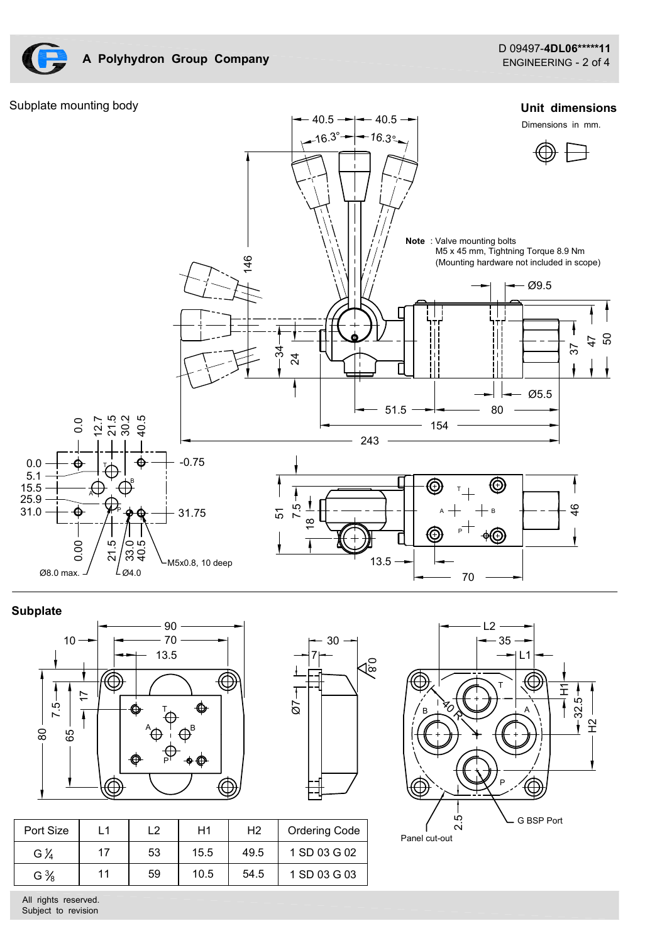

A Polyhydron Group Company







### **Subplate**





| Ø8.0 max. J                                     | $\sim$                                | $\sim$ 1<br>$L_{\varnothing4.0}$ | $-M5x0.8, 10$ deep                  |            |                                                                      | $13.5 \rightarrow$<br>$70\,$                                                                                                                                                          |
|-------------------------------------------------|---------------------------------------|----------------------------------|-------------------------------------|------------|----------------------------------------------------------------------|---------------------------------------------------------------------------------------------------------------------------------------------------------------------------------------|
| plate<br>$10 -$<br>$7.5 -$<br>$\rm ^{80}$<br>65 | $\circledcirc$<br>$\overline{1}$<br>∈ | 90<br>70<br>13.5<br>⊕            | ♦<br>$\bigoplus^{\mathsf{B}}$<br>◆◆ | $\bigcirc$ | $30 -$<br>$\overline{\mathcal{A}_{\infty}^\infty}$<br>$\overline{6}$ | 12<br>$35 -$<br>$\rightarrow$ L1 $\rightarrow$<br><br>$\mathord{\textcircled{\lhd}}$<br>H1<br>32.5<br>$\mathbb{F}_{\mathcal{O}}$<br>$\sf B$<br>$\tilde{\mathbf{H}}$<br>$\circledcirc$ |
| ort Size                                        | L1                                    | L2                               | H1                                  | H2         | Ordering Code                                                        | 2.5<br>G BSP Port<br>Panel cut-out                                                                                                                                                    |
| $G\,\mathcal{V}_4$                              | 17                                    | 53                               | 15.5                                | 49.5       | 1 SD 03 G 02                                                         |                                                                                                                                                                                       |
| $G\frac{3}{8}$                                  | 11                                    | 59                               | 10.5                                | 54.5       | 1 SD 03 G 03                                                         |                                                                                                                                                                                       |
| rights reserved.<br>bject to revision           |                                       |                                  |                                     |            |                                                                      |                                                                                                                                                                                       |

| Port Size          | ┕  | ∽  | H1   | H <sub>2</sub> | <b>Ordering Code</b> | --<br>$\mathbf{\sim}$<br>Panel cut-out | $\sim$ G DOP PO |
|--------------------|----|----|------|----------------|----------------------|----------------------------------------|-----------------|
| $G\,\mathcal{V}_4$ |    | 53 | 15.5 | 49.5           | 1 SD 03 G 02         |                                        |                 |
| $G\frac{3}{8}$     | 11 | 59 | 10.5 | 54.5           | 1 SD 03 G 03         |                                        |                 |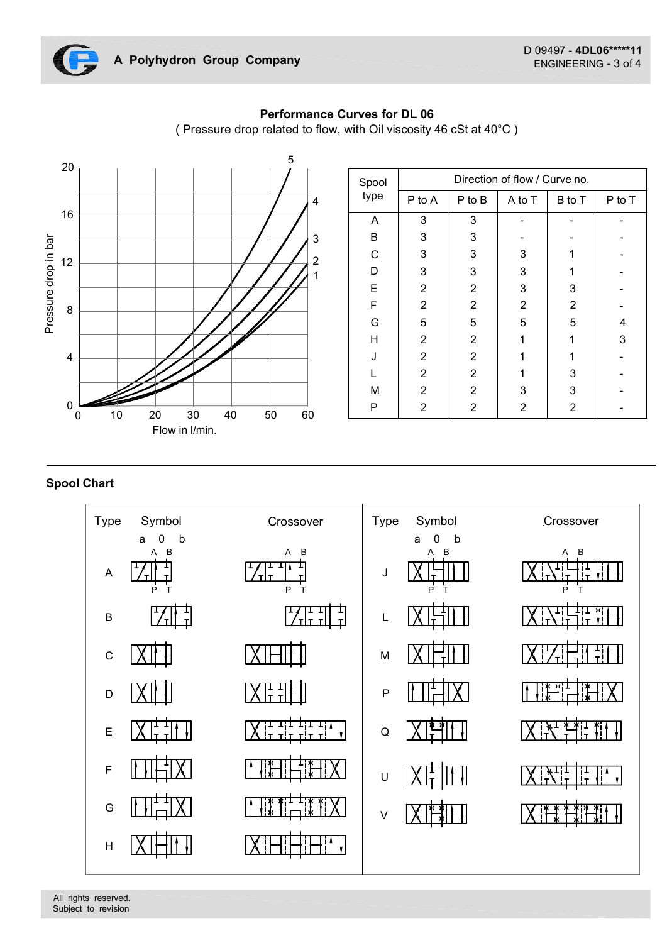



|        | A Polyhydron Group Company         |                                                                         |                                     |                             |                 |                               | D 09497 - 4DL06******11<br>ENGINEERING - 3 of 4 |                |
|--------|------------------------------------|-------------------------------------------------------------------------|-------------------------------------|-----------------------------|-----------------|-------------------------------|-------------------------------------------------|----------------|
|        |                                    | (Pressure drop related to flow, with Oil viscosity 46 cSt at 40°C)<br>5 | <b>Performance Curves for DL 06</b> |                             |                 |                               |                                                 |                |
|        |                                    |                                                                         | Spool                               |                             |                 | Direction of flow / Curve no. |                                                 |                |
|        |                                    |                                                                         | type                                | P to A                      | P to B          | A to T                        | B to T                                          | P to T         |
|        |                                    |                                                                         | $\mathsf{A}$                        | $\mathbf{3}$                | $\mathbf{3}$    | $\sim$                        | $\blacksquare$                                  | $\blacksquare$ |
|        |                                    | 3                                                                       | B                                   | 3                           | 3               | $\blacksquare$                |                                                 |                |
|        |                                    |                                                                         | $\mathsf C$                         | 3                           | 3               | $\mathbf{3}$                  | $\mathbf 1$                                     |                |
|        |                                    |                                                                         | D                                   | 3                           | $\mathbf{3}$    | $\mathbf{3}$                  | $\mathbf{1}$                                    |                |
|        |                                    |                                                                         | E                                   | $\overline{2}$              | $\sqrt{2}$      | $\mathbf{3}$                  | 3                                               |                |
|        |                                    |                                                                         | F                                   | $\overline{2}$              | $\overline{2}$  | $\overline{2}$                | $\overline{2}$                                  | $\sim$         |
|        |                                    |                                                                         | G                                   | 5                           | $\sqrt{5}$      | $\sqrt{5}$                    | 5                                               | $\overline{4}$ |
|        |                                    |                                                                         | H                                   | $\overline{2}$              | $\overline{2}$  | $\mathbf{1}$                  | $\mathbf{1}$                                    | 3              |
|        |                                    |                                                                         | J                                   | $\overline{2}$              | $\overline{2}$  | $\overline{1}$                | $\mathbf{1}$                                    |                |
|        |                                    |                                                                         |                                     | $\overline{2}$              | $\overline{2}$  | $\mathbf{1}$                  | $\ensuremath{\mathsf{3}}$                       |                |
|        |                                    |                                                                         | M                                   | $\overline{2}$              | $\overline{2}$  | $\mathbf{3}$                  | 3                                               |                |
| $10\,$ | $20\,$<br>$30\,$<br>Flow in I/min. | $40\,$<br>$50\,$<br>60                                                  | Þ                                   | $\mathcal{D}$<br>$\epsilon$ | C<br>$\epsilon$ | C<br>$\epsilon$               | $\overline{\mathbf{c}}$                         |                |
|        |                                    |                                                                         |                                     |                             |                 |                               |                                                 |                |
| эe     | Symbol                             | Crossover                                                               | Type                                | Symbol                      |                 |                               | Crossover                                       |                |
|        | $\mathsf b$<br>0<br>a              |                                                                         |                                     | 0<br>a                      | b               |                               |                                                 |                |
|        | B<br>Α                             | A B<br>$\frac{1}{\sqrt{1}}$                                             |                                     |                             | В               |                               | A B                                             |                |
|        | $/\tau\vert$<br>P<br>Т             | P<br>$\top$                                                             | J                                   | D                           |                 |                               | P                                               |                |
|        | $\frac{1}{2}$                      | $\frac{1}{2}$                                                           |                                     | r <del>vit tim</del>        |                 |                               | 023511 113861                                   |                |

# Performance Curves for DL 06

# Spool Chart